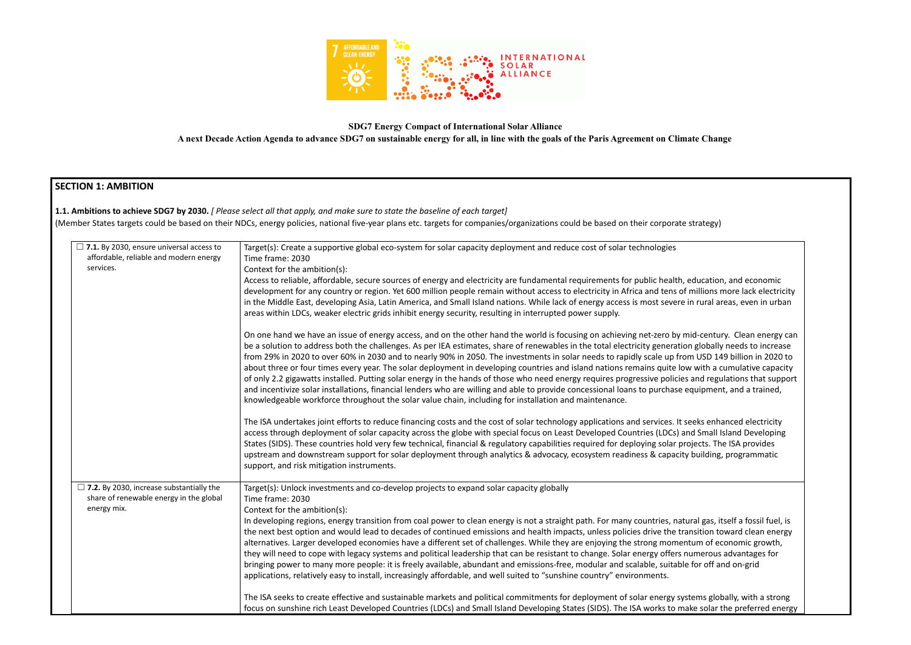

# **SDG7 Energy Compact of International Solar Alliance A next Decade Action Agenda to advance SDG7 on sustainable energy for all, in line with the goals of the Paris Agreement on Climate Change**

## **SECTION 1: AMBITION**

**1.1. Ambitions to achieve SDG7 by 2030.** *[ Please select all that apply, and make sure to state the baseline of each target]* (Member States targets could be based on their NDCs, energy policies, national five-year plans etc. targets for companies/organizations could be based on their corporate strategy)

☐ **7.1.** By 2030, ensure universal access to affordable, reliable and modern energy services. Target(s): Create a supportive global eco-system for solar capacity deployment and reduce cost of solar technologies Time frame: 2030 Context for the ambition(s): Access to reliable, affordable, secure sources of energy and electricity are fundamental requirements for public health, education, and economic development for any country or region. Yet 600 million people remain without access to electricity in Africa and tens of millions more lack electricity in the Middle East, developing Asia, Latin America, and Small Island nations. While lack of energy access is most severe in rural areas, even in urban areas within LDCs, weaker electric grids inhibit energy security, resulting in interrupted power supply. On one hand we have an issue of energy access, and on the other hand the world is focusing on achieving net-zero by mid-century. Clean energy can be a solution to address both the challenges. As per IEA estimates, share of renewables in the total electricity generation globally needs to increase from 29% in 2020 to over 60% in 2030 and to nearly 90% in 2050. The investments in solar needs to rapidly scale up from USD 149 billion in 2020 to about three or four times every year. The solar deployment in developing countries and island nations remains quite low with a cumulative capacity of only 2.2 gigawatts installed. Putting solar energy in the hands of those who need energy requires progressive policies and regulations that support and incentivize solar installations, financial lenders who are willing and able to provide concessional loans to purchase equipment, and a trained, knowledgeable workforce throughout the solar value chain, including for installation and maintenance. The ISA undertakes joint efforts to reduce financing costs and the cost of solar technology applications and services. It seeks enhanced electricity access through deployment of solar capacity across the globe with special focus on Least Developed Countries (LDCs) and Small Island Developing States (SIDS). These countries hold very few technical, financial & regulatory capabilities required for deploying solar projects. The ISA provides upstream and downstream support for solar deployment through analytics & advocacy, ecosystem readiness & capacity building, programmatic support, and risk mitigation instruments. ☐ **7.2.** By 2030, increase substantially the share of renewable energy in the global energy mix. Target(s): Unlock investments and co-develop projects to expand solar capacity globally Time frame: 2030 Context for the ambition(s): In developing regions, energy transition from coal power to clean energy is not a straight path. For many countries, natural gas, itself a fossil fuel, is the next best option and would lead to decades of continued emissions and health impacts, unless policies drive the transition toward clean energy alternatives. Larger developed economies have a different set of challenges. While they are enjoying the strong momentum of economic growth, they will need to cope with legacy systems and political leadership that can be resistant to change. Solar energy offers numerous advantages for bringing power to many more people: it is freely available, abundant and emissions-free, modular and scalable, suitable for off and on-grid applications, relatively easy to install, increasingly affordable, and well suited to "sunshine country" environments.

The ISA seeks to create effective and sustainable markets and political commitments for deployment of solar energy systems globally, with a strong focus on sunshine rich Least Developed Countries (LDCs) and Small Island Developing States (SIDS). The ISA works to make solar the preferred energy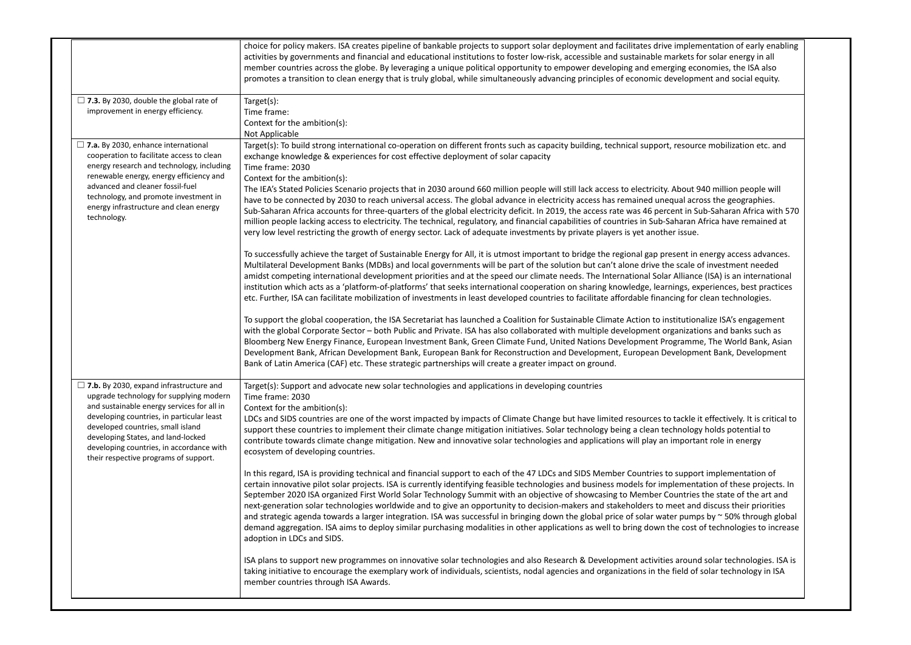|                                                                                                                                                                                                                                                                                                                                                      | choice for policy makers. ISA creates pipeline of bankable projects to support solar deployment and facilitates drive implementation of early enabling<br>activities by governments and financial and educational institutions to foster low-risk, accessible and sustainable markets for solar energy in all<br>member countries across the globe. By leveraging a unique political opportunity to empower developing and emerging economies, the ISA also<br>promotes a transition to clean energy that is truly global, while simultaneously advancing principles of economic development and social equity.                                                                                                                                                                                                                                                                                                                                                                                                                                                                                                                                                                                                                                                                                                                                                                                                                                                                        |
|------------------------------------------------------------------------------------------------------------------------------------------------------------------------------------------------------------------------------------------------------------------------------------------------------------------------------------------------------|----------------------------------------------------------------------------------------------------------------------------------------------------------------------------------------------------------------------------------------------------------------------------------------------------------------------------------------------------------------------------------------------------------------------------------------------------------------------------------------------------------------------------------------------------------------------------------------------------------------------------------------------------------------------------------------------------------------------------------------------------------------------------------------------------------------------------------------------------------------------------------------------------------------------------------------------------------------------------------------------------------------------------------------------------------------------------------------------------------------------------------------------------------------------------------------------------------------------------------------------------------------------------------------------------------------------------------------------------------------------------------------------------------------------------------------------------------------------------------------|
| $\Box$ 7.3. By 2030, double the global rate of<br>improvement in energy efficiency.                                                                                                                                                                                                                                                                  | Target(s):<br>Time frame:<br>Context for the ambition(s):<br>Not Applicable                                                                                                                                                                                                                                                                                                                                                                                                                                                                                                                                                                                                                                                                                                                                                                                                                                                                                                                                                                                                                                                                                                                                                                                                                                                                                                                                                                                                            |
| $\Box$ 7.a. By 2030, enhance international<br>cooperation to facilitate access to clean<br>energy research and technology, including<br>renewable energy, energy efficiency and<br>advanced and cleaner fossil-fuel<br>technology, and promote investment in<br>energy infrastructure and clean energy<br>technology.                                | Target(s): To build strong international co-operation on different fronts such as capacity building, technical support, resource mobilization etc. and<br>exchange knowledge & experiences for cost effective deployment of solar capacity<br>Time frame: 2030<br>Context for the ambition(s):<br>The IEA's Stated Policies Scenario projects that in 2030 around 660 million people will still lack access to electricity. About 940 million people will<br>have to be connected by 2030 to reach universal access. The global advance in electricity access has remained unequal across the geographies.<br>Sub-Saharan Africa accounts for three-quarters of the global electricity deficit. In 2019, the access rate was 46 percent in Sub-Saharan Africa with 570<br>million people lacking access to electricity. The technical, regulatory, and financial capabilities of countries in Sub-Saharan Africa have remained at<br>very low level restricting the growth of energy sector. Lack of adequate investments by private players is yet another issue.                                                                                                                                                                                                                                                                                                                                                                                                                     |
|                                                                                                                                                                                                                                                                                                                                                      | To successfully achieve the target of Sustainable Energy for All, it is utmost important to bridge the regional gap present in energy access advances.<br>Multilateral Development Banks (MDBs) and local governments will be part of the solution but can't alone drive the scale of investment needed<br>amidst competing international development priorities and at the speed our climate needs. The International Solar Alliance (ISA) is an international<br>institution which acts as a 'platform-of-platforms' that seeks international cooperation on sharing knowledge, learnings, experiences, best practices<br>etc. Further, ISA can facilitate mobilization of investments in least developed countries to facilitate affordable financing for clean technologies.<br>To support the global cooperation, the ISA Secretariat has launched a Coalition for Sustainable Climate Action to institutionalize ISA's engagement<br>with the global Corporate Sector - both Public and Private. ISA has also collaborated with multiple development organizations and banks such as<br>Bloomberg New Energy Finance, European Investment Bank, Green Climate Fund, United Nations Development Programme, The World Bank, Asian<br>Development Bank, African Development Bank, European Bank for Reconstruction and Development, European Development Bank, Development<br>Bank of Latin America (CAF) etc. These strategic partnerships will create a greater impact on ground. |
| $\Box$ 7.b. By 2030, expand infrastructure and<br>upgrade technology for supplying modern<br>and sustainable energy services for all in<br>developing countries, in particular least<br>developed countries, small island<br>developing States, and land-locked<br>developing countries, in accordance with<br>their respective programs of support. | Target(s): Support and advocate new solar technologies and applications in developing countries<br>Time frame: 2030<br>Context for the ambition(s):<br>LDCs and SIDS countries are one of the worst impacted by impacts of Climate Change but have limited resources to tackle it effectively. It is critical to<br>support these countries to implement their climate change mitigation initiatives. Solar technology being a clean technology holds potential to<br>contribute towards climate change mitigation. New and innovative solar technologies and applications will play an important role in energy<br>ecosystem of developing countries.<br>In this regard, ISA is providing technical and financial support to each of the 47 LDCs and SIDS Member Countries to support implementation of                                                                                                                                                                                                                                                                                                                                                                                                                                                                                                                                                                                                                                                                               |
|                                                                                                                                                                                                                                                                                                                                                      | certain innovative pilot solar projects. ISA is currently identifying feasible technologies and business models for implementation of these projects. In<br>September 2020 ISA organized First World Solar Technology Summit with an objective of showcasing to Member Countries the state of the art and<br>next-generation solar technologies worldwide and to give an opportunity to decision-makers and stakeholders to meet and discuss their priorities<br>and strategic agenda towards a larger integration. ISA was successful in bringing down the global price of solar water pumps by ~50% through global<br>demand aggregation. ISA aims to deploy similar purchasing modalities in other applications as well to bring down the cost of technologies to increase<br>adoption in LDCs and SIDS.                                                                                                                                                                                                                                                                                                                                                                                                                                                                                                                                                                                                                                                                            |
|                                                                                                                                                                                                                                                                                                                                                      | ISA plans to support new programmes on innovative solar technologies and also Research & Development activities around solar technologies. ISA is<br>taking initiative to encourage the exemplary work of individuals, scientists, nodal agencies and organizations in the field of solar technology in ISA<br>member countries through ISA Awards.                                                                                                                                                                                                                                                                                                                                                                                                                                                                                                                                                                                                                                                                                                                                                                                                                                                                                                                                                                                                                                                                                                                                    |

| lementation of early enabling<br>ts for solar energy in all<br>economies, the ISA also<br>pment and social equity.                                                                                |  |
|---------------------------------------------------------------------------------------------------------------------------------------------------------------------------------------------------|--|
|                                                                                                                                                                                                   |  |
| ource mobilization etc. and                                                                                                                                                                       |  |
| ut 940 million people will<br>across the geographies.<br>n Sub-Saharan Africa with 570<br>an Africa have remained at<br>ue.                                                                       |  |
| : in energy access advances.<br>le of investment needed<br>ance (ISA) is an international<br>, experiences, best practices<br>for clean technologies.                                             |  |
| tionalize ISA's engagement<br>zations and banks such as<br>nme, The World Bank, Asian<br>pment Bank, Development                                                                                  |  |
| de it effectively. It is critical to<br>logy holds potential to<br>ortant role in energy                                                                                                          |  |
| port implementation of<br>entation of these projects. In<br>ries the state of the art and<br>and discuss their priorities<br>imps by $\sim$ 50% through global<br>ost of technologies to increase |  |
| und solar technologies. ISA is<br>I of solar technology in ISA                                                                                                                                    |  |
|                                                                                                                                                                                                   |  |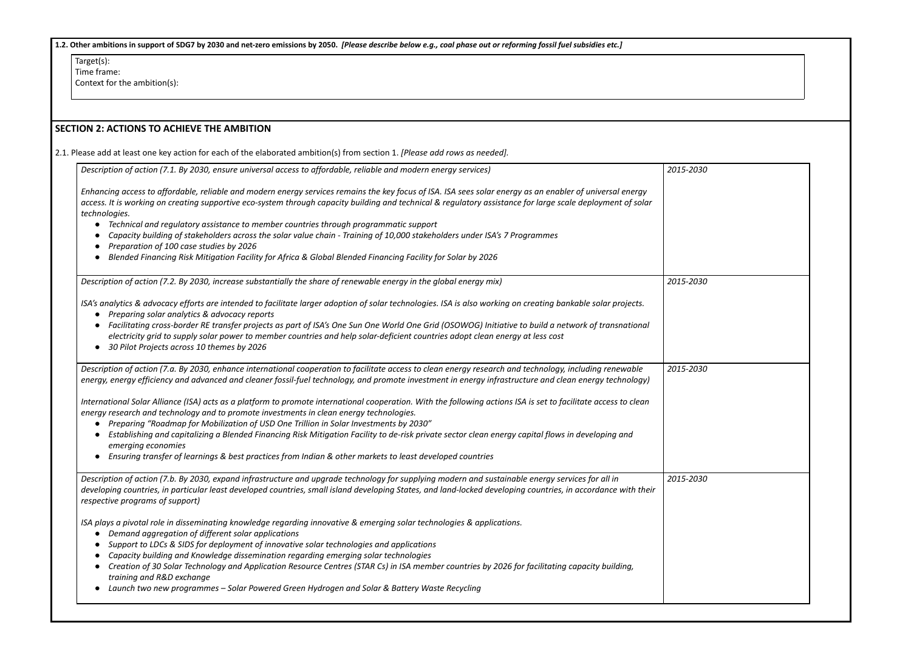#### **SECTION 2: ACTIONS TO ACHIEVE THE AMBITION**

| 1.2. Other ambitions in support of SDG7 by 2030 and net-zero emissions by 2050. [Please describe below e.g., coal phase out or reforming fossil fuel subsidies etc.] |           |
|----------------------------------------------------------------------------------------------------------------------------------------------------------------------|-----------|
| Target(s):                                                                                                                                                           |           |
| Time frame:                                                                                                                                                          |           |
| Context for the ambition(s):                                                                                                                                         |           |
|                                                                                                                                                                      |           |
|                                                                                                                                                                      |           |
|                                                                                                                                                                      |           |
| <b>SECTION 2: ACTIONS TO ACHIEVE THE AMBITION</b>                                                                                                                    |           |
|                                                                                                                                                                      |           |
| 2.1. Please add at least one key action for each of the elaborated ambition(s) from section 1. [Please add rows as needed].                                          |           |
| Description of action (7.1. By 2030, ensure universal access to affordable, reliable and modern energy services)                                                     | 2015-2030 |
|                                                                                                                                                                      |           |
| Enhancing access to affordable, reliable and modern energy services remains the key focus of ISA. ISA sees solar energy as an enabler of universal energy            |           |
| access. It is working on creating supportive eco-system through capacity building and technical & regulatory assistance for large scale deployment of solar          |           |
| technologies.                                                                                                                                                        |           |
| Technical and regulatory assistance to member countries through programmatic support                                                                                 |           |
| Capacity building of stakeholders across the solar value chain - Training of 10,000 stakeholders under ISA's 7 Programmes                                            |           |
| Preparation of 100 case studies by 2026                                                                                                                              |           |
| Blended Financing Risk Mitigation Facility for Africa & Global Blended Financing Facility for Solar by 2026                                                          |           |
|                                                                                                                                                                      |           |
| Description of action (7.2. By 2030, increase substantially the share of renewable energy in the global energy mix)                                                  | 2015-2030 |
|                                                                                                                                                                      |           |
| ISA's analytics & advocacy efforts are intended to facilitate larger adoption of solar technologies. ISA is also working on creating bankable solar projects.        |           |
| Preparing solar analytics & advocacy reports                                                                                                                         |           |
| Facilitating cross-border RE transfer projects as part of ISA's One Sun One World One Grid (OSOWOG) Initiative to build a network of transnational                   |           |
| electricity grid to supply solar power to member countries and help solar-deficient countries adopt clean energy at less cost                                        |           |
| 30 Pilot Projects across 10 themes by 2026                                                                                                                           |           |
|                                                                                                                                                                      |           |
| Description of action (7.a. By 2030, enhance international cooperation to facilitate access to clean energy research and technology, including renewable             | 2015-2030 |
| energy, energy efficiency and advanced and cleaner fossil-fuel technology, and promote investment in energy infrastructure and clean energy technology)              |           |
|                                                                                                                                                                      |           |
| International Solar Alliance (ISA) acts as a platform to promote international cooperation. With the following actions ISA is set to facilitate access to clean      |           |
| energy research and technology and to promote investments in clean energy technologies.                                                                              |           |
| Preparing "Roadmap for Mobilization of USD One Trillion in Solar Investments by 2030"                                                                                |           |
| Establishing and capitalizing a Blended Financing Risk Mitigation Facility to de-risk private sector clean energy capital flows in developing and                    |           |
| emerging economies                                                                                                                                                   |           |
| Ensuring transfer of learnings & best practices from Indian & other markets to least developed countries                                                             |           |
|                                                                                                                                                                      |           |
| Description of action (7.b. By 2030, expand infrastructure and upgrade technology for supplying modern and sustainable energy services for all in                    | 2015-2030 |
| developing countries, in particular least developed countries, small island developing States, and land-locked developing countries, in accordance with their        |           |
| respective programs of support)                                                                                                                                      |           |
|                                                                                                                                                                      |           |
| ISA plays a pivotal role in disseminating knowledge regarding innovative & emerging solar technologies & applications.                                               |           |
| Demand aggregation of different solar applications                                                                                                                   |           |
| Support to LDCs & SIDS for deployment of innovative solar technologies and applications                                                                              |           |
| Capacity building and Knowledge dissemination regarding emerging solar technologies                                                                                  |           |
| Creation of 30 Solar Technology and Application Resource Centres (STAR Cs) in ISA member countries by 2026 for facilitating capacity building,                       |           |
| training and R&D exchange<br>Launch two new programmes - Solar Powered Green Hydrogen and Solar & Battery Waste Recycling                                            |           |
|                                                                                                                                                                      |           |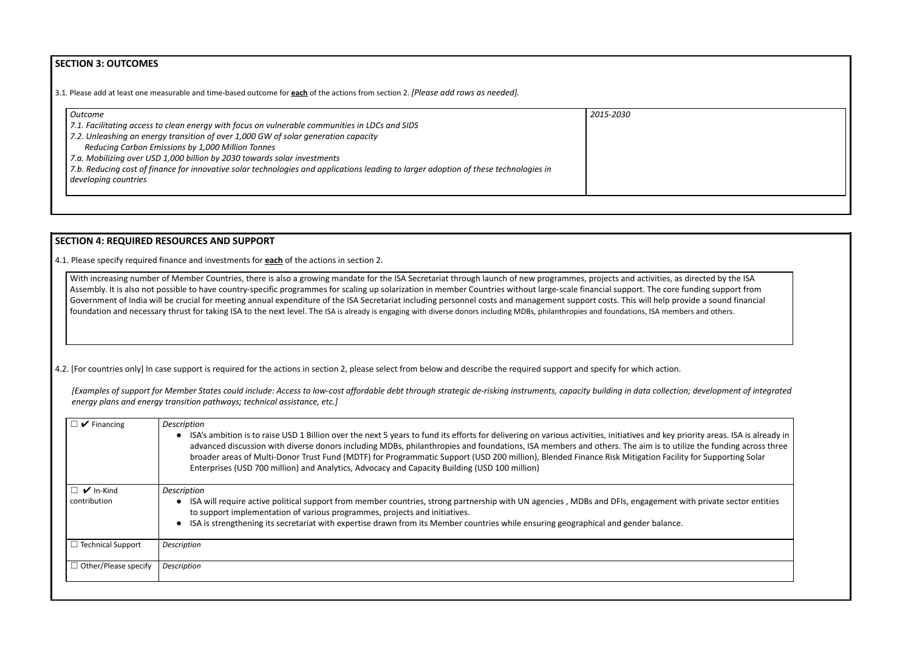#### **SECTION 3: OUTCOMES**

3.1*.* Please add at least one measurable and time-based outcome for **each** of the actions from section 2. *[Please add rows as needed].*

| Outcome                                                                                                                              | 2015-2030 |
|--------------------------------------------------------------------------------------------------------------------------------------|-----------|
| 7.1. Facilitating access to clean energy with focus on vulnerable communities in LDCs and SIDS                                       |           |
| 7.2. Unleashing an energy transition of over 1,000 GW of solar generation capacity                                                   |           |
| Reducing Carbon Emissions by 1,000 Million Tonnes                                                                                    |           |
| 7.a. Mobilizing over USD 1,000 billion by 2030 towards solar investments                                                             |           |
| 7.b. Reducing cost of finance for innovative solar technologies and applications leading to larger adoption of these technologies in |           |
| developing countries                                                                                                                 |           |
|                                                                                                                                      |           |

# **SECTION 4: REQUIRED RESOURCES AND SUPPORT**

4.1. Please specify required finance and investments for **each** of the actions in section 2.

With increasing number of Member Countries, there is also a growing mandate for the ISA Secretariat through launch of new programmes, projects and activities, as directed by the ISA Assembly. It is also not possible to have country-specific programmes for scaling up solarization in member Countries without large-scale financial support. The core funding support from Government of India will be crucial for meeting annual expenditure of the ISA Secretariat including personnel costs and management support costs. This will help provide a sound financial foundation and necessary thrust for taking ISA to the next level. The ISA is already is engaging with diverse donors including MDBs, philanthropies and foundations, ISA members and others.

4.2. [For countries only] In case support is required for the actions in section 2, please select from below and describe the required support and specify for which action.

*[Examples of support for Member States could include: Access to low-cost affordable debt through strategic de-risking instruments, capacity building in data collection; development of integrated energy plans and energy transition pathways; technical assistance, etc.]*

| $\square$ $\blacktriangleright$ Financing | Description<br>• ISA's ambition is to raise USD 1 Billion over the next 5 years to fund its efforts for delivering on various activities, initiatives and key prior<br>advanced discussion with diverse donors including MDBs, philanthropies and foundations, ISA members and others. The aim is to utiliz<br>broader areas of Multi-Donor Trust Fund (MDTF) for Programmatic Support (USD 200 million), Blended Finance Risk Mitigation Facility<br>Enterprises (USD 700 million) and Analytics, Advocacy and Capacity Building (USD 100 million) |
|-------------------------------------------|-----------------------------------------------------------------------------------------------------------------------------------------------------------------------------------------------------------------------------------------------------------------------------------------------------------------------------------------------------------------------------------------------------------------------------------------------------------------------------------------------------------------------------------------------------|
| $\Box \nabla$ In-Kind<br>contribution     | Description<br>ISA will require active political support from member countries, strong partnership with UN agencies, MDBs and DFIs, engagement wit<br>to support implementation of various programmes, projects and initiatives.<br>ISA is strengthening its secretariat with expertise drawn from its Member countries while ensuring geographical and gender balance.                                                                                                                                                                             |
| $\Box$ Technical Support                  | Description                                                                                                                                                                                                                                                                                                                                                                                                                                                                                                                                         |
| $\Box$ Other/Please specify               | Description                                                                                                                                                                                                                                                                                                                                                                                                                                                                                                                                         |

ority areas. ISA is already in ze the funding across three for Supporting Solar

th private sector entities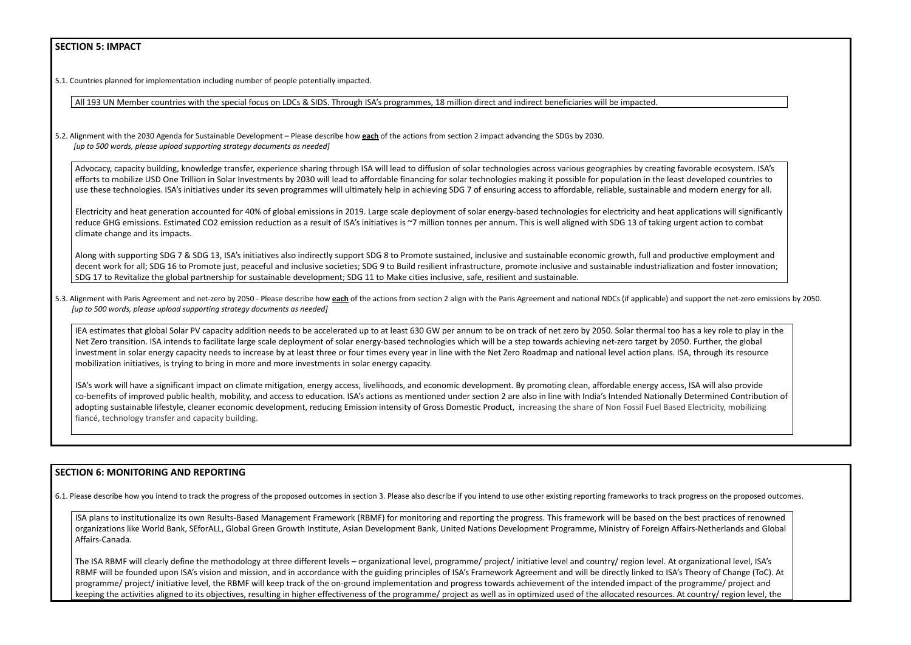## **SECTION 5: IMPACT**

5.1. Countries planned for implementation including number of people potentially impacted.

All 193 UN Member countries with the special focus on LDCs & SIDS. Through ISA's programmes, 18 million direct and indirect beneficiaries will be impacted.

5.2. Alignment with the 2030 Agenda for Sustainable Development – Please describe how **each** of the actions from section 2 impact advancing the SDGs by 2030. *[up to 500 words, please upload supporting strategy documents as needed]*

Advocacy, capacity building, knowledge transfer, experience sharing through ISA will lead to diffusion of solar technologies across various geographies by creating favorable at the experime of solar second. In the ecosyste efforts to mobilize USD One Trillion in Solar Investments by 2030 will lead to affordable financing for solar technologies making it possible for population in the least use these technologies. ISA's initiatives under its seven programmes will ultimately help in achieving SDG 7 of ensuring access to affordable, reliable, sustainable and

Electricity and heat generation accounted for 40% of global emissions in 2019. Large scale deployment of solar energy-based technologies for electricity and heat applications will significantly significantly significantly reduce GHG emissions. Estimated CO2 emission reduction as a result of ISA's initiatives is ~7 million tonnes per annum. This is well aligned with SDG 13 of taking urge climate change and its impacts.

Along with supporting SDG 7 & SDG 13, ISA's initiatives also indirectly support SDG 8 to Promote sustained, inclusive and sustainable economic growth, full and prod decent work for all; SDG 16 to Promote just, peaceful and inclusive societies; SDG 9 to Build resilient infrastructure, promote inclusive and sustainable industrializatio SDG 17 to Revitalize the global partnership for sustainable development; SDG 11 to Make cities inclusive, safe, resilient and sustainable.

5.3. Alignment with Paris Agreement and net-zero by 2050 - Please describe how each of the actions from section 2 align with the Paris Agreement and national NDCs (if applicable) and s *[up to 500 words, please upload supporting strategy documents as needed]*

IEA estimates that global Solar PV capacity addition needs to be accelerated up to at least 630 GW per annum to be on track of net zero by 2050. Solar thermal too has Net Zero transition. ISA intends to facilitate large scale deployment of solar energy-based technologies which will be a step towards achieving net-zero target by 2050. investment in solar energy capacity needs to increase by at least three or four times every year in line with the Net Zero Roadmap and national level action plans. ISA mobilization initiatives, is trying to bring in more and more investments in solar energy capacity.

ISA's work will have a significant impact on climate mitigation, energy access, livelihoods, and economic development. By promoting clean, affordable energy access, co-benefits of improved public health, mobility, and access to education. ISA's actions as mentioned under section 2 are also in line with India's Intended Nationally D adopting sustainable lifestyle, cleaner economic development, reducing Emission intensity of Gross Domestic Product, increasing the share of Non Fossil Fuel Based fiancé, technology transfer and capacity building.

#### **SECTION 6: MONITORING AND REPORTING**

6.1. Please describe how you intend to track the progress of the proposed outcomes in section 3. Please also describe if you intend to use other existing reporting frameworks to track progress on the proposed outcomes.

ISA plans to institutionalize its own Results-Based Management Framework (RBMF) for monitoring and reporting the progress. This framework will be based on the best practices of renowned organizations like World Bank, SEforALL, Global Green Growth Institute, Asian Development Bank, United Nations Development Programme, Ministry of Foreign Affairs-Netherlands and Global Affairs-Canada.

The ISA RBMF will clearly define the methodology at three different levels – organizational level, programme/ project/ initiative level and country/ region level. At organizational level, ISA's RBMF will be founded upon ISA's vision and mission, and in accordance with the guiding principles of ISA's Framework Agreement and will be directly linked to ISA's Theory of Change (ToC). At programme/ project/ initiative level, the RBMF will keep track of the on-ground implementation and progress towards achievement of the intended impact of the programme/ project and keeping the activities aligned to its objectives, resulting in higher effectiveness of the programme/ project as well as in optimized used of the allocated resources. At country/ region level, the

| orable ecosystem. ISA's<br>developed countries to<br>modern energy for all.      |  |
|----------------------------------------------------------------------------------|--|
| plications will significantly<br>ent action to combat                            |  |
| uctive employment and<br>on and foster innovation;                               |  |
| upport the net-zero emissions by 2050.                                           |  |
| as a key role to play in the<br>). Further, the global<br>, through its resource |  |
| ISA will also provide<br>Determined Contribution of<br>Electricity, mobilizing   |  |
|                                                                                  |  |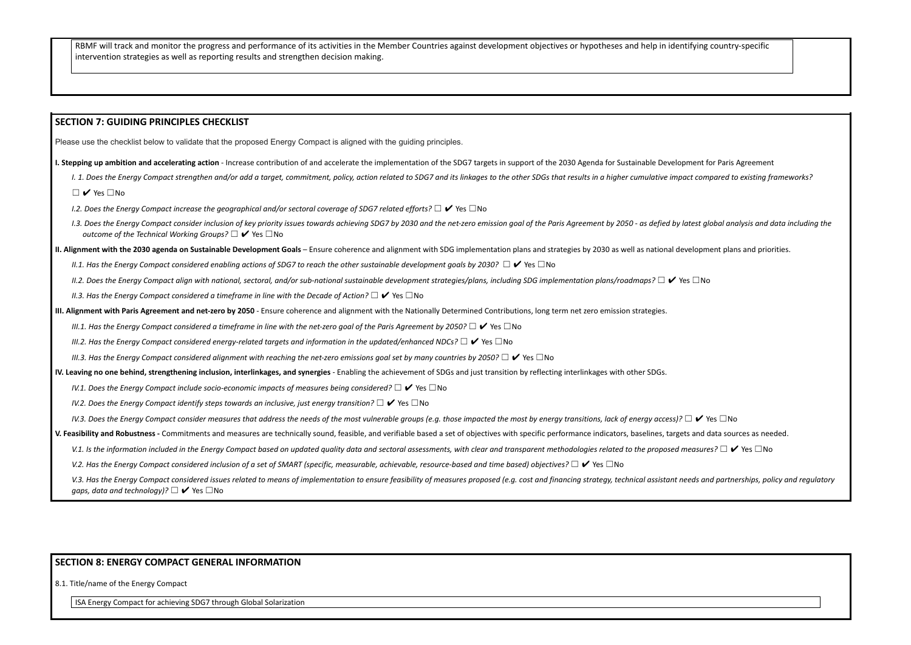RBMF will track and monitor the progress and performance of its activities in the Member Countries against development objectives or hypotheses and help in identi intervention strategies as well as reporting results and strengthen decision making.

#### **SECTION 7: GUIDING PRINCIPLES CHECKLIST**

Please use the checklist below to validate that the proposed Energy Compact is aligned with the guiding principles.

I. Stepping up ambition and accelerating action - Increase contribution of and accelerate the implementation of the SDG7 targets in support of the 2030 Agenda for Sustainable Development for Paris Agreement

I. 1. Does the Energy Compact strengthen and/or add a target, commitment, policy, action related to SDG7 and its linkages to the other SDGs that results in a higher cumulative impact compared to existing frameworks?

 $\Box$   $\vee$  Yes  $\Box$ No

1.3. Does the Energy Compact consider inclusion of key priority issues towards achieving SDG7 by 2030 and the net-zero emission goal of the Paris Agreement by 2050 - as defied by latest global analysis and data including t *outcome of the Technical Working Groups?* ☐ ✔ Yes ☐No

II. Alignment with the 2030 agenda on Sustainable Development Goals - Ensure coherence and alignment with SDG implementation plans and strategies by 2030 as well as national development plans and priorities.

II.1. Has the Enerav Compact considered enablina actions of SDG7 to reach the other sustainable development aoals by 2030?  $\Box \vee$  Yes  $\Box$ No

II.2. Does the Energy Compact align with national, sectoral, and/or sub-national sustainable development strategies/plans, including SDG implementation plans/roadmaps?  $\Box \checkmark$  Yes  $\Box$ No

*I.2. Does the Energy Compact increase the geographical and/or sectoral coverage of SDG7 related efforts?* ☐ ✔ Yes ☐No

*II.3. Has the Energy Compact considered a timeframe in line with the Decade of Action?* ☐ ✔ Yes ☐No

III. Alignment with Paris Agreement and net-zero by 2050 - Ensure coherence and alignment with the Nationally Determined Contributions, long term net zero emission strategies.

III.1. Has the Energy Compact considered a timeframe in line with the net-zero goal of the Paris Agreement by 2050?  $\Box \checkmark$  Yes  $\Box$ No

*III.2. Has the Energy Compact considered energy-related targets and information in the updated/enhanced NDCs?* ☐ ✔ Yes ☐No

III.3. Has the Energy Compact considered alignment with reaching the net-zero emissions goal set by many countries by 2050?  $\Box \vee$  Yes  $\Box$ No

IV. Leaving no one behind, strengthening inclusion, interlinkages, and synergies - Enabling the achievement of SDGs and just transition by reflecting interlinkages with other SDGs.

*IV.1. Does the Energy Compact include socio-economic impacts of measures being considered?* ☐ ✔ Yes ☐No

*IV.2. Does the Energy Compact identify steps towards an inclusive, just energy transition?* ☐ ✔ Yes ☐No

IV.3. Does the Energy Compact consider measures that address the needs of the most vulnerable groups (e.g. those impacted the most by energy transitions, lack of energy access)?  $\Box \checkmark$  Yes  $\Box$ No

V. Feasibility and Robustness - Commitments and measures are technically sound, feasible, and verifiable based a set of objectives with specific performance indicators, baselines, targets and data sources as needed.

V.1. Is the information included in the Energy Compact based on updated quality data and sectoral assessments, with clear and transparent methodologies related to the proposed measures?  $\Box$   $\vee$  Yes  $\Box$  No

V.2. Has the Energy Compact considered inclusion of a set of SMART (specific, measurable, achievable, resource-based and time based) objectives?  $\Box$   $\vee$  Yes  $\Box$  No

V.3. Has the Energy Compact considered issues related to means of implementation to ensure feasibility of measures proposed (e.g. cost and financing strategy, technical assistant needs and partnerships, policy and regulato *gaps, data and technology*)? □ ✔ Yes □No

#### **SECTION 8: ENERGY COMPACT GENERAL INFORMATION**

8.1. Title/name of the Energy Compact

ISA Energy Compact for achieving SDG7 through Global Solarization

| fying country-specific |  |  |
|------------------------|--|--|
|------------------------|--|--|